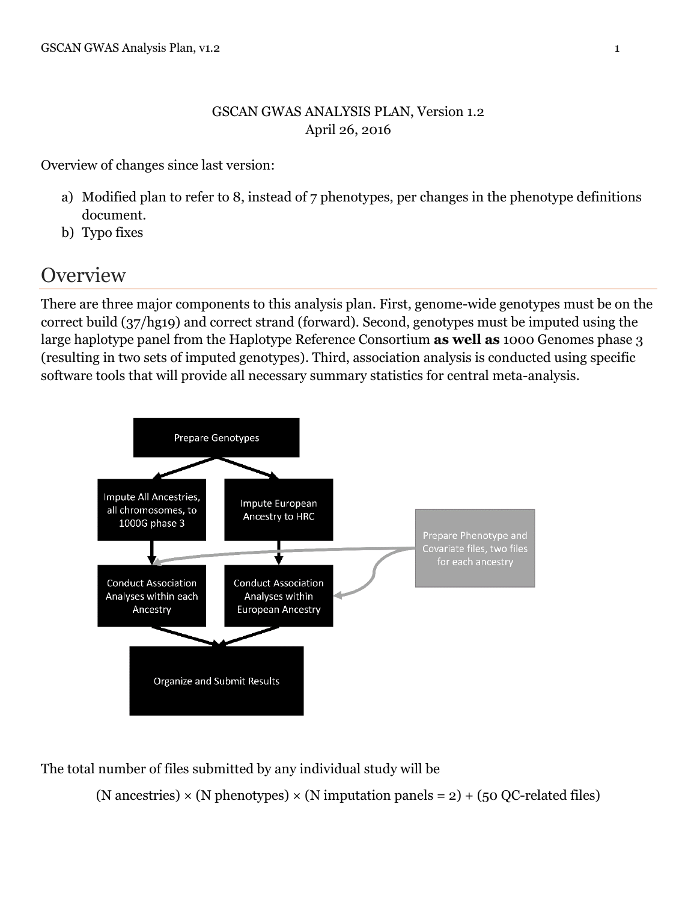#### GSCAN GWAS ANALYSIS PLAN, Version 1.2 April 26, 2016

Overview of changes since last version:

- a) Modified plan to refer to 8, instead of 7 phenotypes, per changes in the phenotype definitions document.
- b) Typo fixes

## **Overview**

There are three major components to this analysis plan. First, genome-wide genotypes must be on the correct build (37/hg19) and correct strand (forward). Second, genotypes must be imputed using the large haplotype panel from the Haplotype Reference Consortium **as well as** 1000 Genomes phase 3 (resulting in two sets of imputed genotypes). Third, association analysis is conducted using specific software tools that will provide all necessary summary statistics for central meta-analysis.



The total number of files submitted by any individual study will be

(N ancestries)  $\times$  (N phenotypes)  $\times$  (N imputation panels = 2) + (50 QC-related files)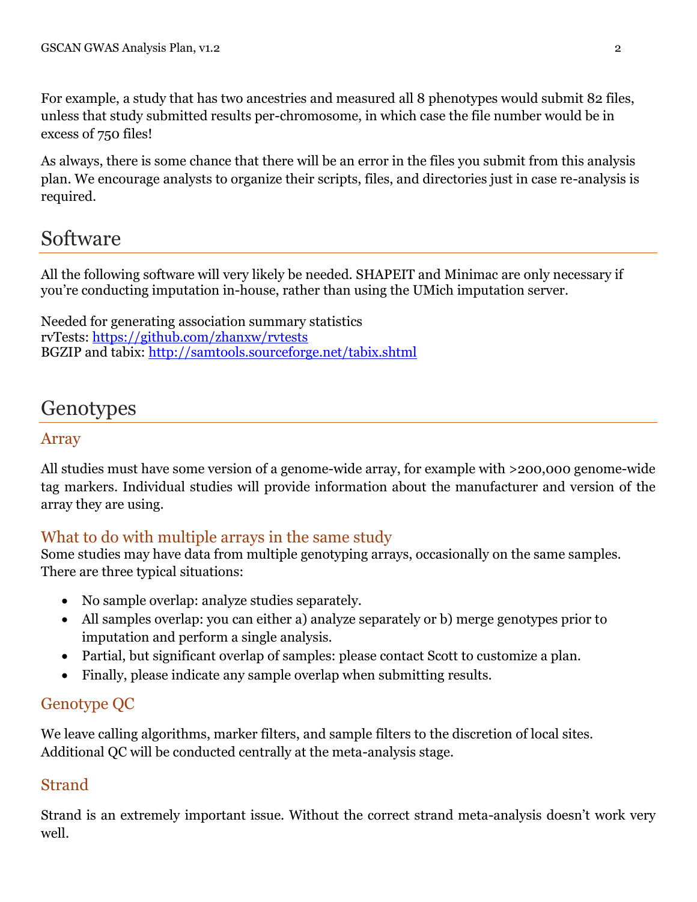For example, a study that has two ancestries and measured all 8 phenotypes would submit 82 files, unless that study submitted results per-chromosome, in which case the file number would be in excess of 750 files!

As always, there is some chance that there will be an error in the files you submit from this analysis plan. We encourage analysts to organize their scripts, files, and directories just in case re-analysis is required.

## Software

All the following software will very likely be needed. SHAPEIT and Minimac are only necessary if you're conducting imputation in-house, rather than using the UMich imputation server.

Needed for generating association summary statistics rvTests:<https://github.com/zhanxw/rvtests> BGZIP and tabix:<http://samtools.sourceforge.net/tabix.shtml>

## **Genotypes**

### Array

All studies must have some version of a genome-wide array, for example with >200,000 genome-wide tag markers. Individual studies will provide information about the manufacturer and version of the array they are using.

### What to do with multiple arrays in the same study

Some studies may have data from multiple genotyping arrays, occasionally on the same samples. There are three typical situations:

- No sample overlap: analyze studies separately.
- All samples overlap: you can either a) analyze separately or b) merge genotypes prior to imputation and perform a single analysis.
- Partial, but significant overlap of samples: please contact Scott to customize a plan.
- Finally, please indicate any sample overlap when submitting results.

### Genotype QC

We leave calling algorithms, marker filters, and sample filters to the discretion of local sites. Additional QC will be conducted centrally at the meta-analysis stage.

### Strand

Strand is an extremely important issue. Without the correct strand meta-analysis doesn't work very well.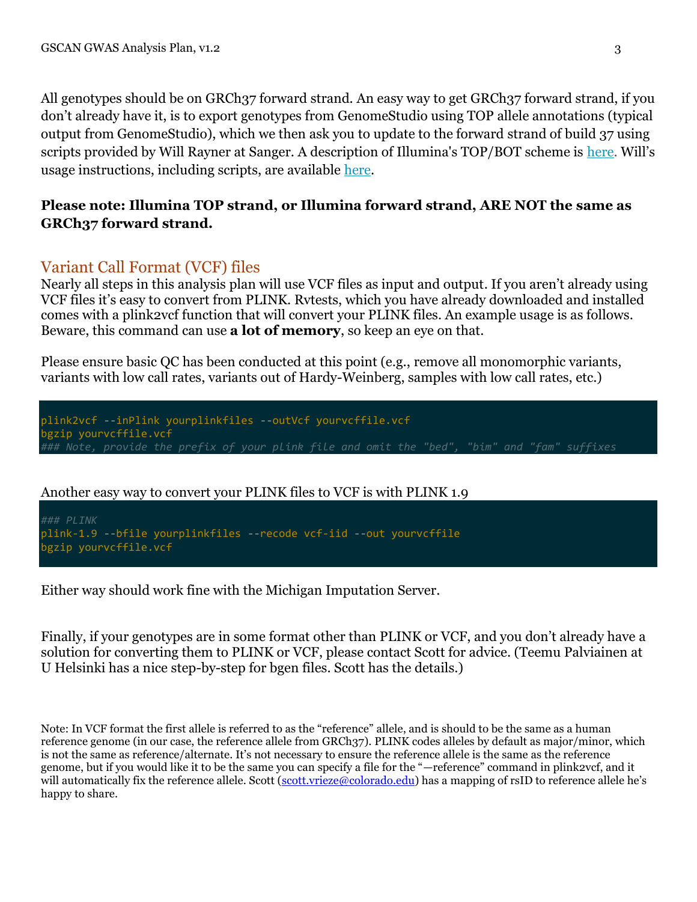All genotypes should be on GRCh37 forward strand. An easy way to get GRCh37 forward strand, if you don't already have it, is to export genotypes from GenomeStudio using TOP allele annotations (typical output from GenomeStudio), which we then ask you to update to the forward strand of build 37 using scripts provided by Will Rayner at Sanger. A description of Illumina's TOP/BOT scheme is [here.](https://www.google.com/url?sa=t&rct=j&q=&esrc=s&source=web&cd=1&cad=rja&ved=0CCsQFjAA&url=http%3A%2F%2Fres.illumina.com%2Fdocuments%2Fproducts%2Ftechnotes%2Ftechnote_topbot.pdf&ei=gDGFUufRO-XwyAHx0IGwAQ&usg=AFQjCNH0M8J2cuBs8kGgcwdFKvGlaJhD9A&sig2=TLOZ47KLm8aaNdp2nwFXvA&bvm=bv.56343320,d.aWc) Will's usage instructions, including scripts, are available [here.](http://www.well.ox.ac.uk/~wrayner/strand/)

#### **Please note: Illumina TOP strand, or Illumina forward strand, ARE NOT the same as GRCh37 forward strand.**

#### Variant Call Format (VCF) files

Nearly all steps in this analysis plan will use VCF files as input and output. If you aren't already using VCF files it's easy to convert from PLINK. Rvtests, which you have already downloaded and installed comes with a plink2vcf function that will convert your PLINK files. An example usage is as follows. Beware, this command can use **a lot of memory**, so keep an eye on that.

Please ensure basic QC has been conducted at this point (e.g., remove all monomorphic variants, variants with low call rates, variants out of Hardy-Weinberg, samples with low call rates, etc.)

plink2vcf --inPlink yourplinkfiles --outVcf yourvcffile.vcf bgzip yourvcffile.vcf *### Note, provide the prefix of your plink file and omit the "bed", "bim" and "fam" suffixes*

Another easy way to convert your PLINK files to VCF is with PLINK 1.9

*### PLINK* plink-1.9 --bfile yourplinkfiles --recode vcf-iid --out yourvcffile bgzip yourvcffile.vcf

Either way should work fine with the Michigan Imputation Server.

Finally, if your genotypes are in some format other than PLINK or VCF, and you don't already have a solution for converting them to PLINK or VCF, please contact Scott for advice. (Teemu Palviainen at U Helsinki has a nice step-by-step for bgen files. Scott has the details.)

Note: In VCF format the first allele is referred to as the "reference" allele, and is should to be the same as a human reference genome (in our case, the reference allele from GRCh37). PLINK codes alleles by default as major/minor, which is not the same as reference/alternate. It's not necessary to ensure the reference allele is the same as the reference genome, but if you would like it to be the same you can specify a file for the "—reference" command in plink2vcf, and it will automatically fix the reference allele. Scott [\(scott.vrieze@colorado.edu](mailto:scott.vrieze@colorado.edu)) has a mapping of rsID to reference allele he's happy to share.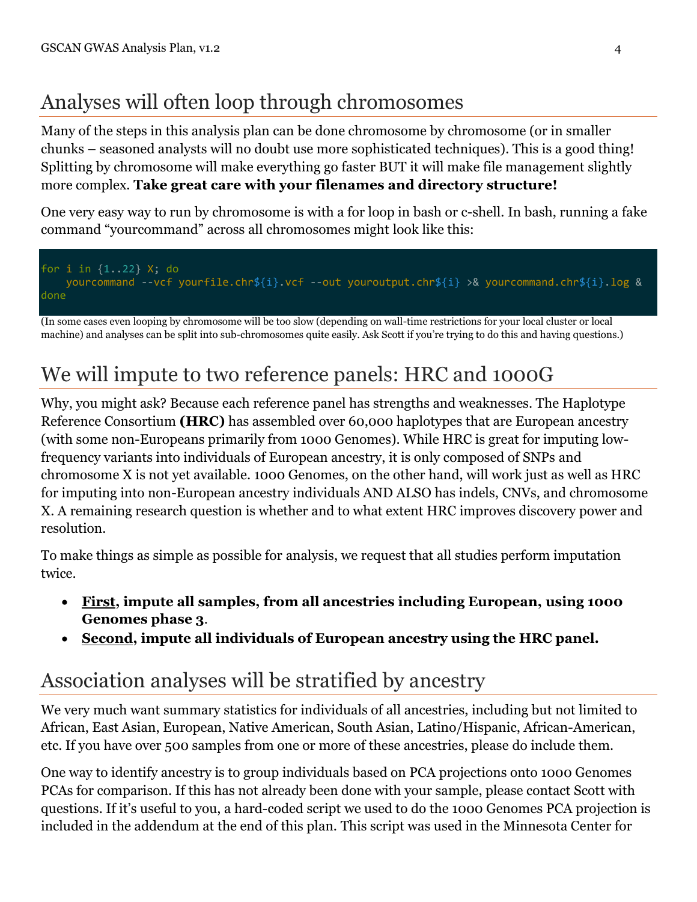# Analyses will often loop through chromosomes

Many of the steps in this analysis plan can be done chromosome by chromosome (or in smaller chunks – seasoned analysts will no doubt use more sophisticated techniques). This is a good thing! Splitting by chromosome will make everything go faster BUT it will make file management slightly more complex. **Take great care with your filenames and directory structure!**

One very easy way to run by chromosome is with a for loop in bash or c-shell. In bash, running a fake command "yourcommand" across all chromosomes might look like this:



(In some cases even looping by chromosome will be too slow (depending on wall-time restrictions for your local cluster or local machine) and analyses can be split into sub-chromosomes quite easily. Ask Scott if you're trying to do this and having questions.)

# We will impute to two reference panels: HRC and 1000G

Why, you might ask? Because each reference panel has strengths and weaknesses. The Haplotype Reference Consortium **(HRC)** has assembled over 60,000 haplotypes that are European ancestry (with some non-Europeans primarily from 1000 Genomes). While HRC is great for imputing lowfrequency variants into individuals of European ancestry, it is only composed of SNPs and chromosome X is not yet available. 1000 Genomes, on the other hand, will work just as well as HRC for imputing into non-European ancestry individuals AND ALSO has indels, CNVs, and chromosome X. A remaining research question is whether and to what extent HRC improves discovery power and resolution.

To make things as simple as possible for analysis, we request that all studies perform imputation twice.

- **First, impute all samples, from all ancestries including European, using 1000 Genomes phase 3**.
- **Second, impute all individuals of European ancestry using the HRC panel.**

# Association analyses will be stratified by ancestry

We very much want summary statistics for individuals of all ancestries, including but not limited to African, East Asian, European, Native American, South Asian, Latino/Hispanic, African-American, etc. If you have over 500 samples from one or more of these ancestries, please do include them.

One way to identify ancestry is to group individuals based on PCA projections onto 1000 Genomes PCAs for comparison. If this has not already been done with your sample, please contact Scott with questions. If it's useful to you, a hard-coded script we used to do the 1000 Genomes PCA projection is included in the addendum at the end of this plan. This script was used in the Minnesota Center for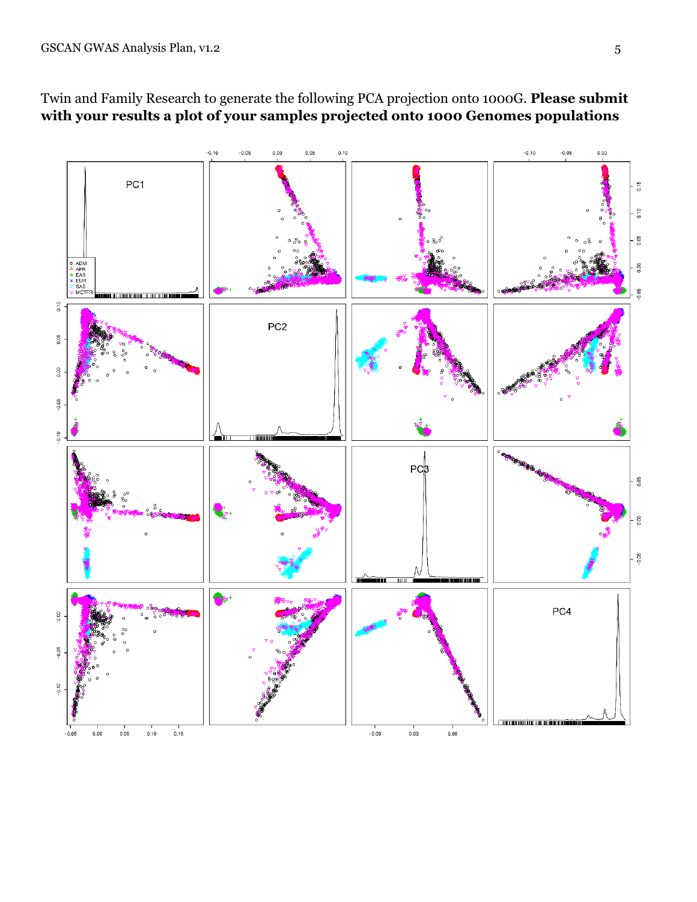

### Twin and Family Research to generate the following PCA projection onto 1000G. **Please submit with your results a plot of your samples projected onto 1000 Genomes populations**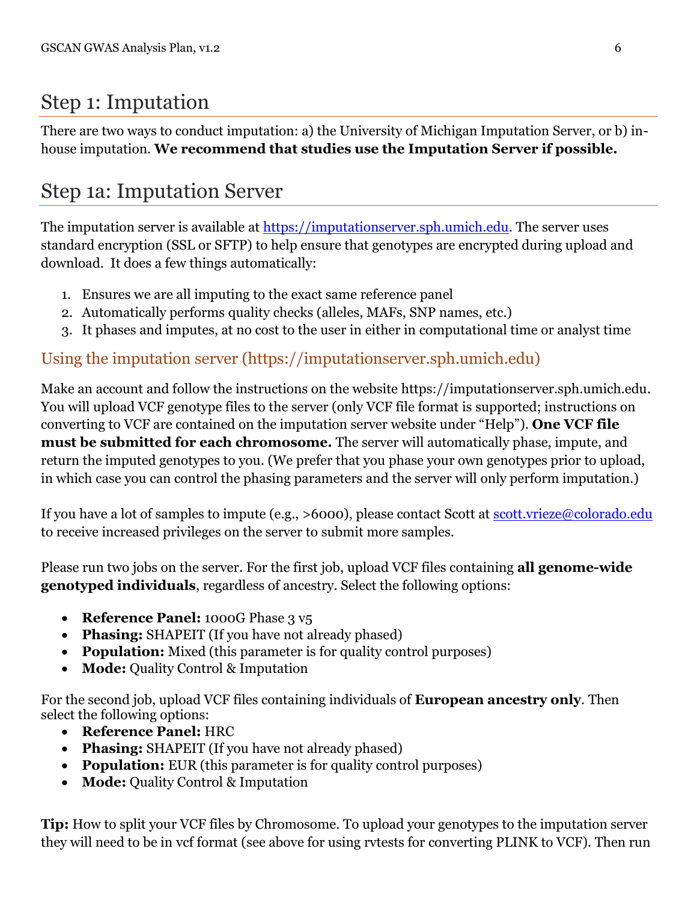# Step 1: Imputation

There are two ways to conduct imputation: a) the University of Michigan Imputation Server, or b) inhouse imputation. **We recommend that studies use the Imputation Server if possible.**

# Step 1a: Imputation Server

The imputation server is available at [https://imputationserver.sph.umich.edu.](https://imputationserver.sph.umich.edu/) The server uses standard encryption (SSL or SFTP) to help ensure that genotypes are encrypted during upload and download. It does a few things automatically:

- 1. Ensures we are all imputing to the exact same reference panel
- 2. Automatically performs quality checks (alleles, MAFs, SNP names, etc.)
- 3. It phases and imputes, at no cost to the user in either in computational time or analyst time

### Using the imputation server (https://imputationserver.sph.umich.edu)

Make an account and follow the instructions on the website https://imputationserver.sph.umich.edu. You will upload VCF genotype files to the server (only VCF file format is supported; instructions on converting to VCF are contained on the imputation server website under "Help"). **One VCF file must be submitted for each chromosome.** The server will automatically phase, impute, and return the imputed genotypes to you. (We prefer that you phase your own genotypes prior to upload, in which case you can control the phasing parameters and the server will only perform imputation.)

If you have a lot of samples to impute (e.g., >6000), please contact Scott at [scott.vrieze@colorado.edu](mailto:scott.vrieze@colorado.edu) to receive increased privileges on the server to submit more samples.

Please run two jobs on the server. For the first job, upload VCF files containing **all genome-wide genotyped individuals**, regardless of ancestry. Select the following options:

- **Reference Panel:** 1000G Phase 3 v<sub>5</sub>
- **Phasing:** SHAPEIT (If you have not already phased)
- **Population:** Mixed (this parameter is for quality control purposes)
- **Mode:** Quality Control & Imputation

For the second job, upload VCF files containing individuals of **European ancestry only**. Then select the following options:

- **Reference Panel:** HRC
- **Phasing:** SHAPEIT (If you have not already phased)
- **Population:** EUR (this parameter is for quality control purposes)
- **Mode:** Quality Control & Imputation

**Tip:** How to split your VCF files by Chromosome. To upload your genotypes to the imputation server they will need to be in vcf format (see above for using rvtests for converting PLINK to VCF). Then run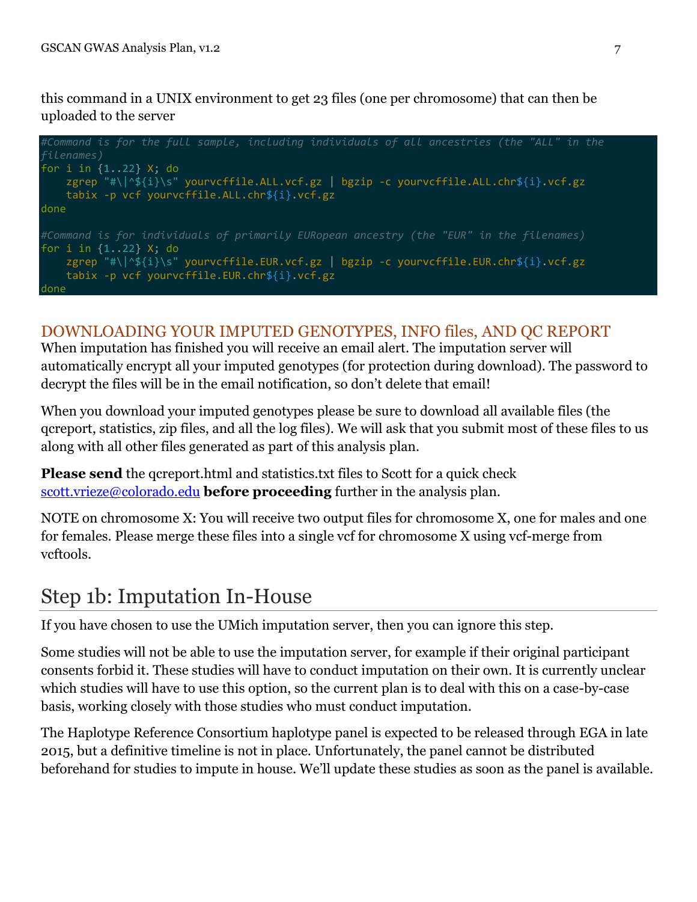this command in a UNIX environment to get 23 files (one per chromosome) that can then be uploaded to the server

```
#Command is for the full sample, including individuals of all ancestries (the "ALL" in the 
filenames)
for i in {1..22} X; do
    zgrep "#\|^${i}\s" yourvcffile.ALL.vcf.gz | bgzip -c yourvcffile.ALL.chr${i}.vcf.gz
     tabix -p vcf yourvcffile.ALL.chr${i}.vcf.gz
done
#Command is for individuals of primarily EURopean ancestry (the "EUR" in the filenames)
for i in {1..22} X; do
     zgrep "#\|^${i}\s" yourvcffile.EUR.vcf.gz | bgzip -c yourvcffile.EUR.chr${i}.vcf.gz
     tabix -p vcf yourvcffile.EUR.chr${i}.vcf.gz
done
```
### DOWNLOADING YOUR IMPUTED GENOTYPES, INFO files, AND QC REPORT

When imputation has finished you will receive an email alert. The imputation server will automatically encrypt all your imputed genotypes (for protection during download). The password to decrypt the files will be in the email notification, so don't delete that email!

When you download your imputed genotypes please be sure to download all available files (the qcreport, statistics, zip files, and all the log files). We will ask that you submit most of these files to us along with all other files generated as part of this analysis plan.

**Please send** the gcreport.html and statistics.txt files to Scott for a quick check [scott.vrieze@colorado.edu](mailto:scott.vrieze@colorado.edu) **before proceeding** further in the analysis plan.

NOTE on chromosome X: You will receive two output files for chromosome X, one for males and one for females. Please merge these files into a single vcf for chromosome X using vcf-merge from vcftools.

## Step 1b: Imputation In-House

If you have chosen to use the UMich imputation server, then you can ignore this step.

Some studies will not be able to use the imputation server, for example if their original participant consents forbid it. These studies will have to conduct imputation on their own. It is currently unclear which studies will have to use this option, so the current plan is to deal with this on a case-by-case basis, working closely with those studies who must conduct imputation.

The Haplotype Reference Consortium haplotype panel is expected to be released through EGA in late 2015, but a definitive timeline is not in place. Unfortunately, the panel cannot be distributed beforehand for studies to impute in house. We'll update these studies as soon as the panel is available.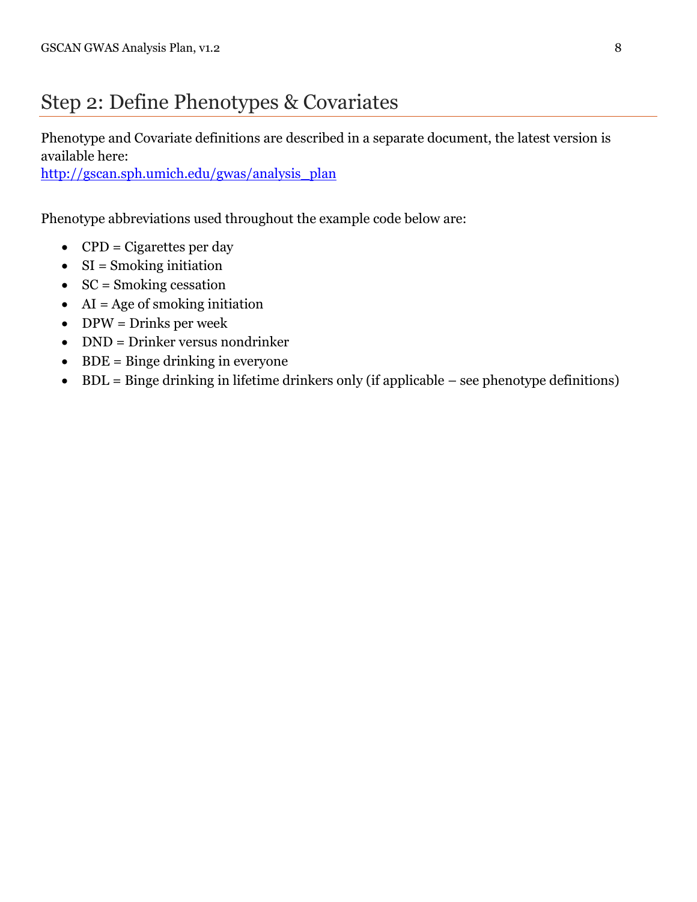## Step 2: Define Phenotypes & Covariates

Phenotype and Covariate definitions are described in a separate document, the latest version is available here:

[http://gscan.sph.umich.edu/gwas/analysis\\_plan](http://gscan.sph.umich.edu/gwas/analysis_plan)

Phenotype abbreviations used throughout the example code below are:

- $\bullet$  CPD = Cigarettes per day
- $\bullet$  SI = Smoking initiation
- $\bullet$  SC = Smoking cessation
- $\bullet$  AI = Age of smoking initiation
- $\bullet$  DPW = Drinks per week
- DND = Drinker versus nondrinker
- $\bullet$  BDE = Binge drinking in everyone
- BDL = Binge drinking in lifetime drinkers only (if applicable see phenotype definitions)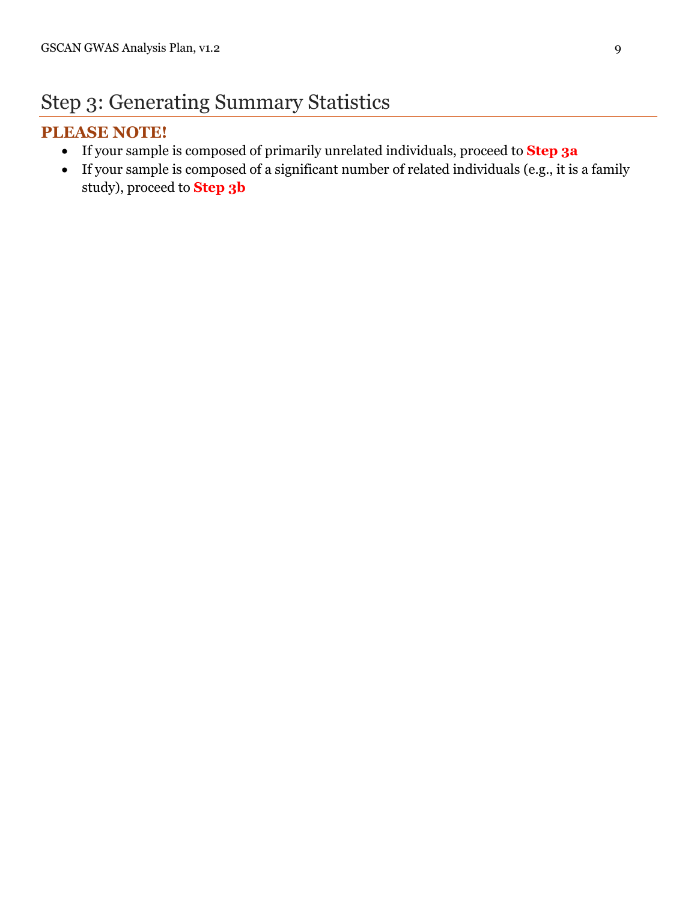## Step 3: Generating Summary Statistics

### **PLEASE NOTE!**

- If your sample is composed of primarily unrelated individuals, proceed to **Step 3a**
- If your sample is composed of a significant number of related individuals (e.g., it is a family study), proceed to **Step 3b**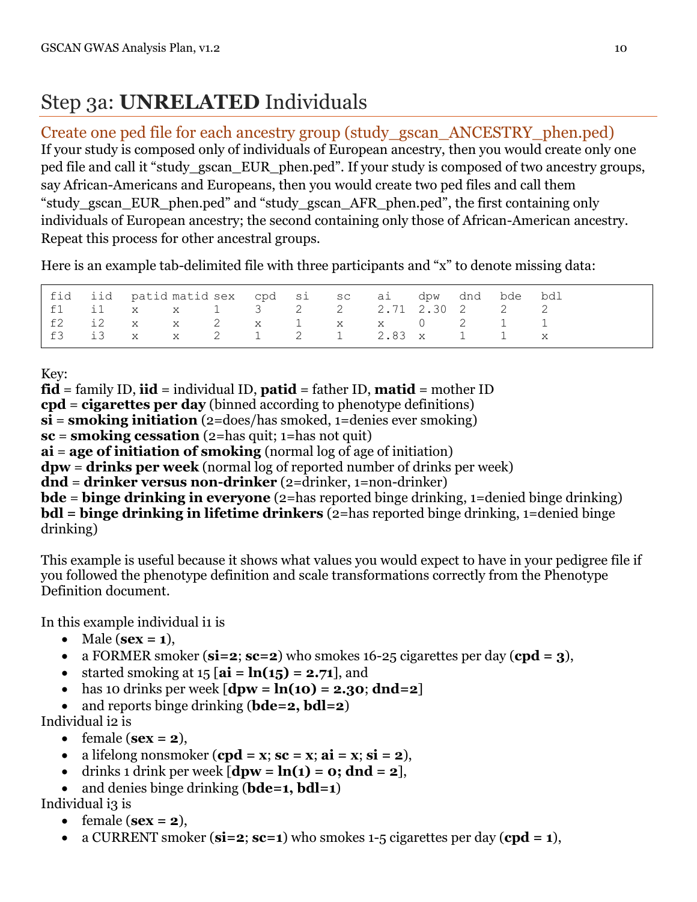# Step 3a: **UNRELATED** Individuals

Create one ped file for each ancestry group (study\_gscan\_ANCESTRY\_phen.ped) If your study is composed only of individuals of European ancestry, then you would create only one ped file and call it "study\_gscan\_EUR\_phen.ped". If your study is composed of two ancestry groups, say African-Americans and Europeans, then you would create two ped files and call them "study\_gscan\_EUR\_phen.ped" and "study\_gscan\_AFR\_phen.ped", the first containing only individuals of European ancestry; the second containing only those of African-American ancestry. Repeat this process for other ancestral groups.

Here is an example tab-delimited file with three participants and "x" to denote missing data:

|  |  | fid iid patid-matid-sex cpd si sc ai dpw dnd bde bdl |  |  |  |  |
|--|--|------------------------------------------------------|--|--|--|--|
|  |  | f1 i1 x x 1 3 2 2 2.71 2.30 2 2 2                    |  |  |  |  |
|  |  | f2 i2 x x 2 x 1 x x 0 2 1 1                          |  |  |  |  |
|  |  | f3 i3 x x 2 1 2 1 2.83 x 1 1 x                       |  |  |  |  |

Key:

**fid** = family ID, **iid** = individual ID, **patid** = father ID, **matid** = mother ID **cpd** = **cigarettes per day** (binned according to phenotype definitions) **si** = **smoking initiation** (2=does/has smoked, 1=denies ever smoking) **sc** = **smoking cessation** (2=has quit; 1=has not quit) **ai** = **age of initiation of smoking** (normal log of age of initiation) **dpw** = **drinks per week** (normal log of reported number of drinks per week) **dnd** = **drinker versus non-drinker** (2=drinker, 1=non-drinker) **bde** = **binge drinking in everyone** (2=has reported binge drinking, 1=denied binge drinking) **bdl** = **binge drinking in lifetime drinkers** (2=has reported binge drinking, 1=denied binge drinking)

This example is useful because it shows what values you would expect to have in your pedigree file if you followed the phenotype definition and scale transformations correctly from the Phenotype Definition document.

In this example individual i1 is

- $\bullet$  Male ( $sex = 1$ ),
- a FORMER smoker (**si=2**; **sc=2**) who smokes 16-25 cigarettes per day (**cpd = 3**),
- started smoking at  $15 \mid \textbf{ai} = \textbf{ln}(15) = 2.71$ , and
- has 10 drinks per week  $[dpw = ln(10) = 2.30; dnd=2]$
- and reports binge drinking (**bde=2, bdl=2**)

Individual i2 is

- female  $(**sex** = 2),$
- a lifelong nonsmoker  $(\text{cpd} = x; \text{ sc} = x; \text{ ai} = x; \text{ si} = 2)$ ,
- $\bullet$  drinks 1 drink per week  $[\text{dpw} = \ln(1) = 0; \text{d} \cdot \text{d} = 2]$ ,
- and denies binge drinking (**bde=1, bdl=1**)

Individual i3 is

- $\bullet$  female ( $\textbf{sex} = 2$ ),
- a CURRENT smoker (**si=2**; **sc=1**) who smokes 1-5 cigarettes per day (**cpd = 1**),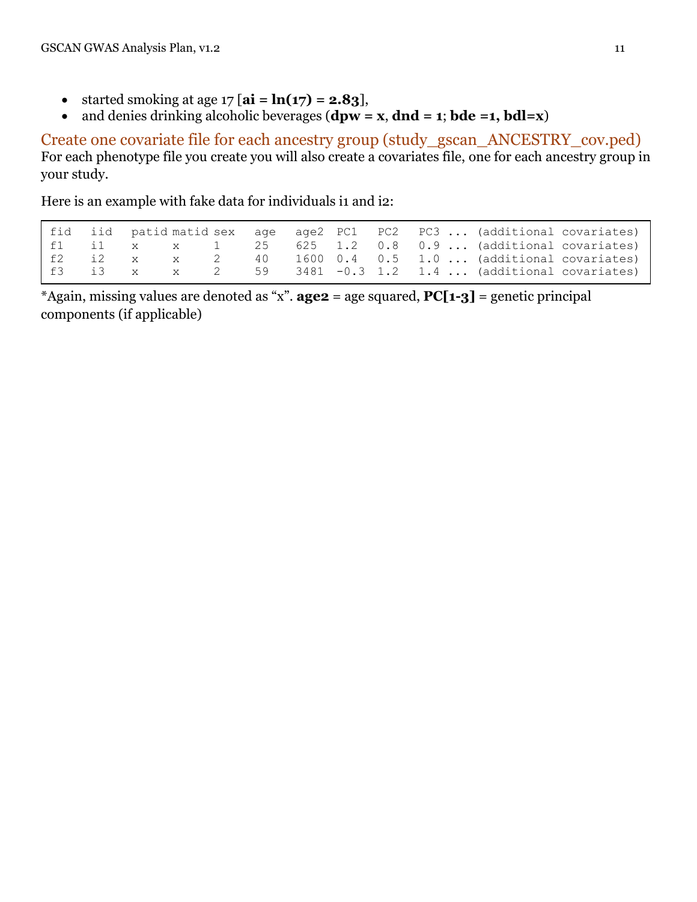- started smoking at age  $17 [ai = ln(17) = 2.83]$ ,
- and denies drinking alcoholic beverages  $(dpw = x, dnd = 1; bde = 1, bdl = x)$

Create one covariate file for each ancestry group (study\_gscan\_ANCESTRY\_cov.ped) For each phenotype file you create you will also create a covariates file, one for each ancestry group in your study.

Here is an example with fake data for individuals i1 and i2:

|  |  |  |  |  | fid iid patid matid sex age age2 PC1 PC2 PC3  (additional covariates) |  |
|--|--|--|--|--|-----------------------------------------------------------------------|--|
|  |  |  |  |  | f1 i1 x x 1 $25$ $625$ $1.2$ $0.8$ $0.9$ (additional covariates)      |  |
|  |  |  |  |  | f2 i2 x x 2 40 1600 0.4 0.5 1.0  (additional covariates)              |  |
|  |  |  |  |  | f3 i3 x x 2 59 3481 -0.3 1.2 1.4  (additional covariates)             |  |

\*Again, missing values are denoted as "x". **age2** = age squared, **PC[1-3]** = genetic principal components (if applicable)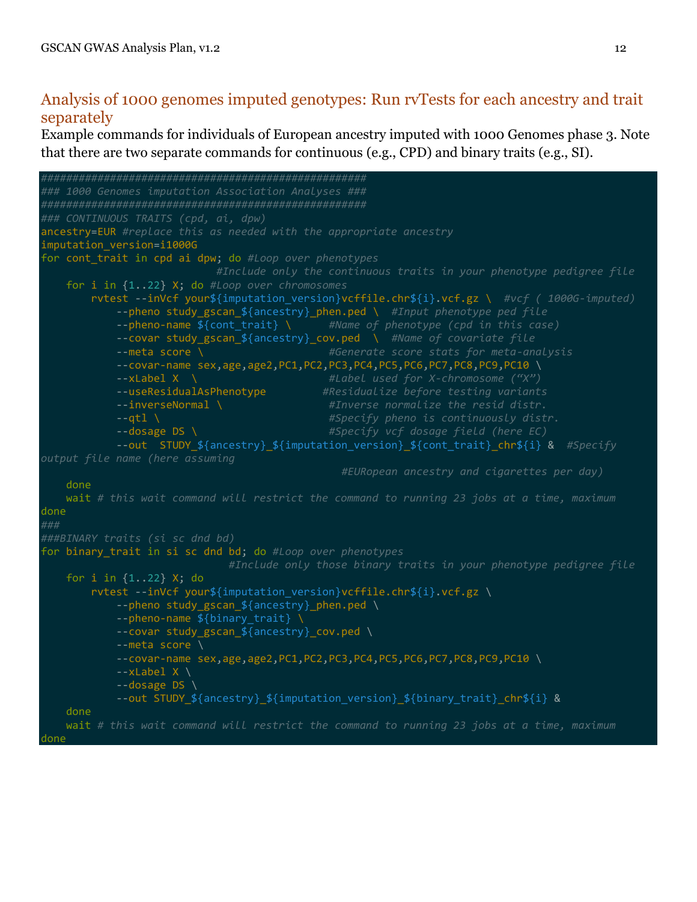### Analysis of 1000 genomes imputed genotypes: Run rvTests for each ancestry and trait separately

Example commands for individuals of European ancestry imputed with 1000 Genomes phase 3. Note that there are two separate commands for continuous (e.g., CPD) and binary traits (e.g., SI).

```
####################################################
### 1000 Genomes imputation Association Analyses ###
####################################################
### CONTINUOUS TRAITS (cpd, ai, dpw)
ancestry=EUR #replace this as needed with the appropriate ancestry
imputation_version=i1000G
for cont_trait in cpd ai dpw; do #Loop over phenotypes
                           #Include only the continuous traits in your phenotype pedigree file
    for i in {1..22} X; do #Loop over chromosomes
        rvtest --inVcf your${imputation_version}vcffile.chr${i}.vcf.gz \ #vcf ( 1000G-imputed)
            --pheno study_gscan_${ancestry}_phen.ped \ #Input phenotype ped file
            --pheno-name ${cont_trait} \ #Name of phenotype (cpd in this case)
            --covar study_gscan_${ancestry}_cov.ped \ #Name of covariate file
            --meta score \ #Generate score stats for meta-analysis
            --covar-name sex,age,age2,PC1,PC2,PC3,PC4,PC5,PC6,PC7,PC8,PC9,PC10 \
            --xLabel X \ #Label used for X-chromosome ("X")
            --useResidualAsPhenotype #Residualize before testing variants
            --inverseNormal \ #Inverse normalize the resid distr.
            --qtl \ #Specify pheno is continuously distr.
            --dosage DS \ #Specify vcf dosage field (here EC) 
            --out STUDY_${ancestry}_${imputation_version}_${cont_trait}_chr${i} & #Specify 
output file name (here assuming
                                               #EURopean ancestry and cigarettes per day)
    done
    wait # this wait command will restrict the command to running 23 jobs at a time, maximum
done
###
###BINARY traits (si sc dnd bd)
for binary_trait in si sc dnd bd; do #Loop over phenotypes
                             #Include only those binary traits in your phenotype pedigree file
   for i in \{1..22\} X; do
       rvtest --inVcf your${imputation version}vcffile.chr${i}.vcf.gz \
            --pheno study_gscan_${ancestry}_phen.ped \
           --pheno-name ${binary trait} \
            --covar study_gscan_${ancestry}_cov.ped \
            --meta score \
            --covar-name sex,age,age2,PC1,PC2,PC3,PC4,PC5,PC6,PC7,PC8,PC9,PC10 \
           -xLabel X \
            --dosage DS \
            --out STUDY_${ancestry}_${imputation_version}_${binary_trait}_chr${i} &
    done
    wait # this wait command will restrict the command to running 23 jobs at a time, maximum
done
```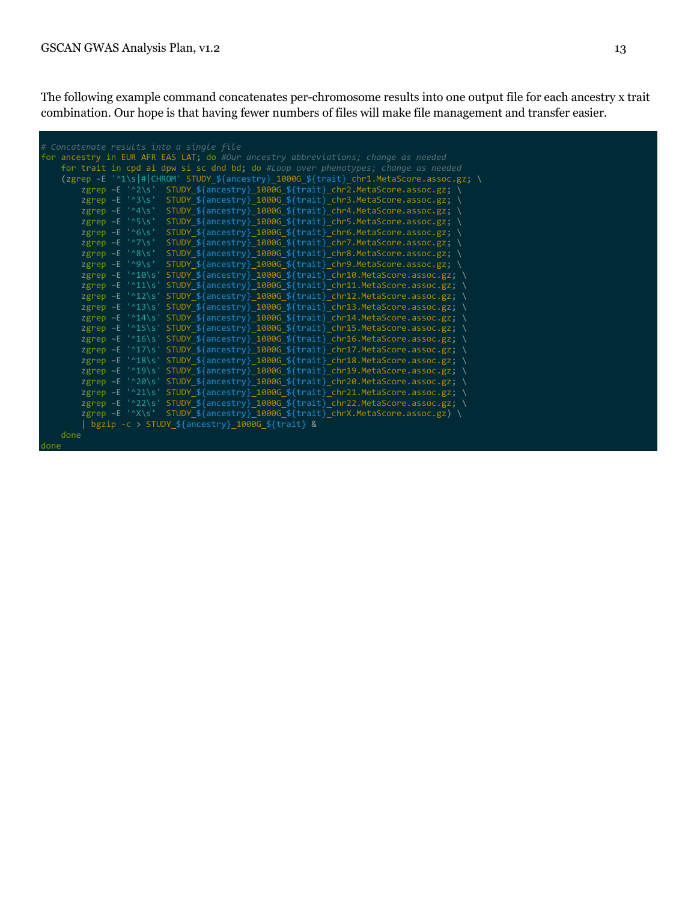The following example command concatenates per-chromosome results into one output file for each ancestry x trait combination. Our hope is that having fewer numbers of files will make file management and transfer easier.

| # Concatenate results into a single file                                                                      |
|---------------------------------------------------------------------------------------------------------------|
| for ancestry in EUR AFR EAS LAT; do #Our ancestry abbreviations; change as needed                             |
| for trait in cpd ai dpw si sc dnd bd; do #Loop over phenotypes; change as needed                              |
| (zgrep -E '^1\s # CHROM' STUDY_\${ancestry}_1000G_\${trait}_chr1.MetaScore.assoc.gz; \                        |
| STUDY_\${ancestry}_1000G_\${trait}_chr2.MetaScore.assoc.gz; \<br>zgrep $-E$ $^{\prime}$ ^2\s'                 |
| zgrep $-E$ $^{\prime}$ $^{\prime}$ $3 \succeq$<br>STUDY_\${ancestry}_1000G_\${trait}_chr3.MetaScore.assoc.gz; |
| zgrep $-E$ '^4\s'<br>STUDY_\${ancestry}_1000G_\${trait}_chr4.MetaScore.assoc.gz; \                            |
| zgrep $-E$ '^5\s'<br>STUDY_\${ancestry}_1000G_\${trait}_chr5.MetaScore.assoc.gz; \                            |
|                                                                                                               |
| zgrep $-E$ '^6\s'<br>STUDY_\${ancestry}_1000G_\${trait}_chr6.MetaScore.assoc.gz;                              |
| zgrep $-E$ '^7\s'<br>STUDY_\${ancestry}_1000G_\${trait}_chr7.MetaScore.assoc.gz;                              |
| $z$ grep -E '^8\s'<br>STUDY_\${ancestry}_1000G_\${trait}_chr8.MetaScore.assoc.gz; \                           |
| $z$ grep -E '^9\s'<br>STUDY \${ancestry} 1000G \${trait} chr9.MetaScore.assoc.gz; \                           |
| $z$ grep $-E$ '^10\s'<br>STUDY_\${ancestry}_1000G_\${trait}_chr10.MetaScore.assoc.gz; \                       |
| zgrep -E '^11\s' STUDY_\${ancestry}_1000G_\${trait}_chr11.MetaScore.assoc.gz; \                               |
| zgrep -E '^12\s' STUDY \${ancestry} 1000G \${trait} chr12.MetaScore.assoc.gz; \                               |
| zgrep -E '^13\s' STUDY_\${ancestry}_1000G_\${trait}_chr13.MetaScore.assoc.gz; \                               |
| zgrep -E '^14\s' STUDY_\${ancestry}_1000G_\${trait}_chr14.MetaScore.assoc.gz; \                               |
| zgrep -E '^15\s' STUDY_\${ancestry}_1000G_\${trait}_chr15.MetaScore.assoc.gz; \                               |
| zgrep -E '^16\s' STUDY_\${ancestry}_1000G_\${trait}_chr16.MetaScore.assoc.gz; \                               |
| zgrep -E '^17\s' STUDY_\${ancestry}_1000G_\${trait}_chr17.MetaScore.assoc.gz; \                               |
| zgrep -E '^18\s' STUDY_\${ancestry}_1000G_\${trait}_chr18.MetaScore.assoc.gz; \                               |
| zgrep -E '^19\s' STUDY_\${ancestry}_1000G_\${trait}_chr19.MetaScore.assoc.gz; \                               |
| zgrep -E '^20\s' STUDY_\${ancestry}_1000G_\${trait}_chr20.MetaScore.assoc.gz; \                               |
| zgrep -E '^21\s' STUDY_\${ancestry}_1000G_\${trait}_chr21.MetaScore.assoc.gz; \                               |
| zgrep -E '^22\s' STUDY_\${ancestry}_1000G_\${trait}_chr22.MetaScore.assoc.gz; \                               |
| zgrep -E '^X\s' STUDY_\${ancestry}_1000G_\${trait}_chrX.MetaScore.assoc.gz) \                                 |
| bgzip -c > $STUDY_{\frac{1}{2}}\$ {ancestry} 1000G_\${trait} &                                                |
| done                                                                                                          |

done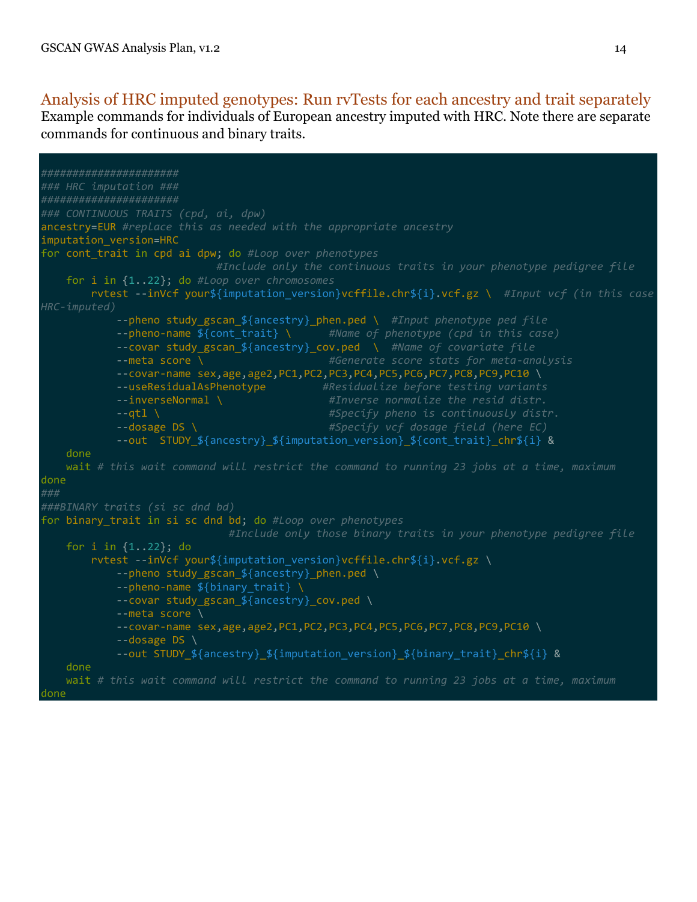#### Analysis of HRC imputed genotypes: Run rvTests for each ancestry and trait separately Example commands for individuals of European ancestry imputed with HRC. Note there are separate commands for continuous and binary traits.

```
######################
### HRC imputation ###
######################
### CONTINUOUS TRAITS (cpd, ai, dpw)
ancestry=EUR #replace this as needed with the appropriate ancestry
imputation_version=HRC
for cont_trait in cpd ai dpw; do #Loop over phenotypes
                            #Include only the continuous traits in your phenotype pedigree file
    for i in {1..22}; do #Loop over chromosomes
        rvtest --inVcf your${imputation_version}vcffile.chr${i}.vcf.gz \ #Input vcf (in this case 
HRC-imputed)
             --pheno study_gscan_${ancestry}_phen.ped \ #Input phenotype ped file
            --pheno-name ${cont_trait} \ #Name of phenotype (cpd in this case)
            --covar study_gscan_${ancestry}_cov.ped \ #Name of covariate file
            --meta score \ #Generate score stats for meta-analysis
            --covar-name sex,age,age2,PC1,PC2,PC3,PC4,PC5,PC6,PC7,PC8,PC9,PC10 \
            --useResidualAsPhenotype #Residualize before testing variants
            --inverseNormal \ #Inverse normalize the resid distr.
                                             #Specify pheno is continuously distr.
            --dosage DS \ #Specify vcf dosage field (here EC) 
            --out STUDY_${ancestry}_${imputation_version}_${cont_trait}_chr${i} &
    done
    wait # this wait command will restrict the command to running 23 jobs at a time, maximum
done
###
###BINARY traits (si sc dnd bd)
for binary_trait in si sc dnd bd; do #Loop over phenotypes
                              #Include only those binary traits in your phenotype pedigree file
    for i in {1..22}; do
       rvtest --inVcf your${imputation version}vcffile.chr${i}.vcf.gz \
            --pheno study_gscan_${ancestry}_phen.ped \
           --pheno-name ${binary trait}
            --covar study_gscan_${ancestry}_cov.ped \
            --meta score \
            --covar-name sex,age,age2,PC1,PC2,PC3,PC4,PC5,PC6,PC7,PC8,PC9,PC10 \
           -dosage DS \setminus --out STUDY_${ancestry}_${imputation_version}_${binary_trait}_chr${i} &
    done
    wait # this wait command will restrict the command to running 23 jobs at a time, maximum
done
```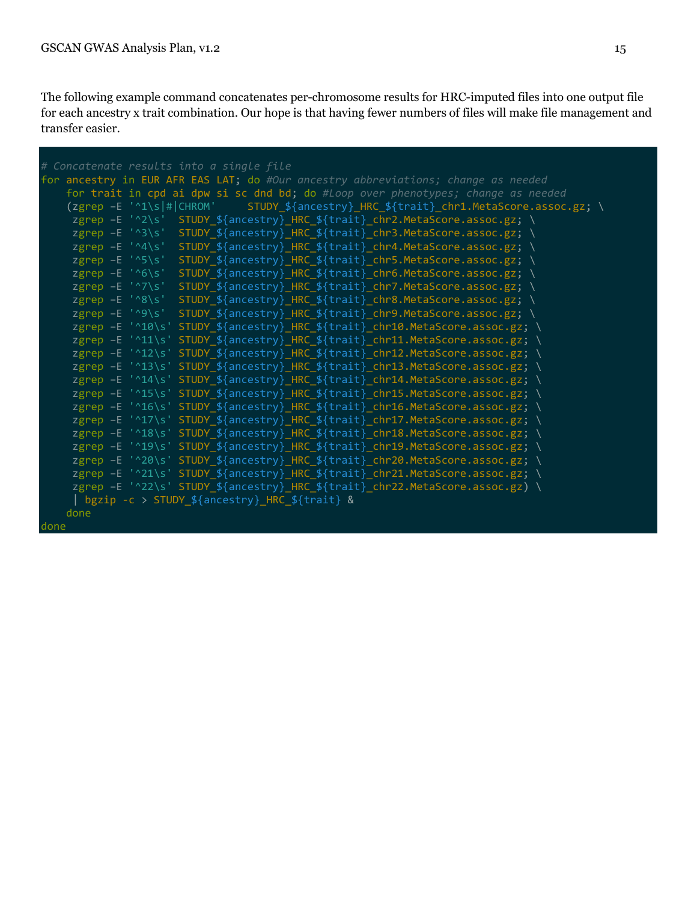The following example command concatenates per-chromosome results for HRC-imputed files into one output file for each ancestry x trait combination. Our hope is that having fewer numbers of files will make file management and transfer easier.

```
for ancestry in EUR AFR EAS LAT; do #Our ancestry abbreviations; change as needed
     for trait in cpd ai dpw si sc dnd bd; do #Loop over phenotypes; change as needed
     (zgrep –E '^1\s|#|CHROM' STUDY_${ancestry}_HRC_${trait}_chr1.MetaScore.assoc.gz; \
     zgrep -E '^2\s' STUDY_${ancestry}_HRC_${trait}_chr2.MetaScore.assoc.gz; \
     zgrep -E '^3\s' STUDY_${ancestry}_HRC_${trait}_chr3.MetaScore.assoc.gz;
      zgrep –E '^4\s' STUDY_${ancestry}_HRC_${trait}_chr4.MetaScore.assoc.gz; \
     zgrep -E '^5\s' STUDY_${ancestry}_HRC_${trait}_chr5.MetaScore.assoc.gz;
     zgrep -E '^6\s' STUDY_${ancestry}_HRC_${trait}_chr6.MetaScore.assoc.gz;
     zgrep –E '^7\s' STUDY_${ancestry}_HRC_${trait}_chr7.MetaScore.assoc.gz;<br>zgrep –E '^8\s' STUDY_${ancestry}_HRC_${trait}_chr8.MetaScore.assoc.gz;
      zgrep –E '^8\s' STUDY_${ancestry}_HRC_${trait}_chr8.MetaScore.assoc.gz; \
     zgrep -E '^9\s' STUDY_${ancestry}_HRC_${trait}_chr9.MetaScore.assoc.gz;
     zgrep -E '^10\s' STUDY_${ancestry}_HRC_${trait}_chr10.MetaScore.assoc.gz;
     zgrep -E '^11\s' STUDY_${ancestry}_HRC_${trait}_chr11.MetaScore.assoc.gz;
     zgrep -E '^12\s' STUDY_${ancestry}_HRC_${trait}_chr12.MetaScore.assoc.gz;
     zgrep -E '^13\s' STUDY_${ancestry}_HRC_${trait}_chr13.MetaScore.assoc.gz;
     zgrep -E '^14\s' STUDY_${ancestry}_HRC_${trait}_chr14.MetaScore.assoc.gz;
     zgrep -E '^15\s' STUDY_${ancestry}_HRC_${trait}_chr15.MetaScore.assoc.gz;
     zgrep -E '^16\s' STUDY_${ancestry}_HRC_${trait}_chr16.MetaScore.assoc.gz;
     zgrep -E '^17\s' STUDY_${ancestry}_HRC_${trait}_chr17.MetaScore.assoc.gz;
     zgrep -E '^18\s' STUDY_${ancestry}_HRC_${trait}_chr18.MetaScore.assoc.gz;
     zgrep -E '^19\s' STUDY_${ancestry}_HRC_${trait}_chr19.MetaScore.assoc.gz;
     zgrep -E '^20\s' STUDY_${ancestry}_HRC_${trait}_chr20.MetaScore.assoc.gz;
     zgrep -E '^21\s' STUDY ${ancestry} HRC ${trait} chr21.MetaScore.assoc.gz;
     zgrep -E '^22\s' STUDY_${ancestry}_HRC_${trait}_chr22.MetaScore.assoc.gz)
      | bgzip -c > STUDY_${ancestry}_HRC_${trait} &
     done
done
```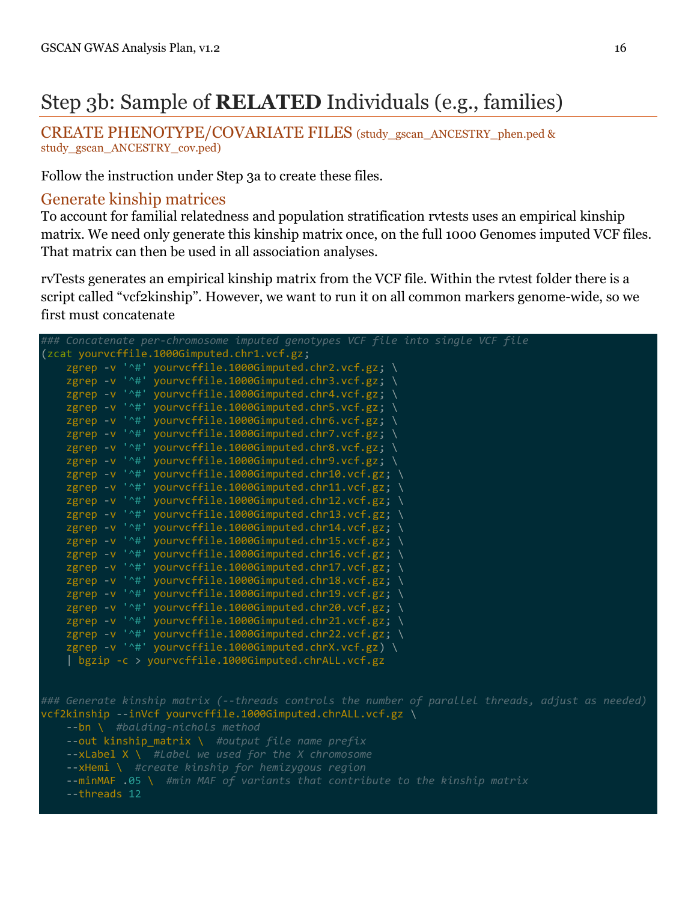# Step 3b: Sample of **RELATED** Individuals (e.g., families)

CREATE PHENOTYPE/COVARIATE FILES (study\_gscan\_ANCESTRY\_phen.ped & study\_gscan\_ANCESTRY\_cov.ped)

Follow the instruction under Step 3a to create these files.

#### Generate kinship matrices

To account for familial relatedness and population stratification rvtests uses an empirical kinship matrix. We need only generate this kinship matrix once, on the full 1000 Genomes imputed VCF files. That matrix can then be used in all association analyses.

rvTests generates an empirical kinship matrix from the VCF file. Within the rvtest folder there is a script called "vcf2kinship". However, we want to run it on all common markers genome-wide, so we first must concatenate

```
### Concatenate per-chromosome imputed genotypes VCF file into single VCF file
(zcat yourvcffile.1000Gimputed.chr1.vcf.gz;
   zgrep -v '^#' yourvcffile.1000Gimputed.chr2.vcf.gz; \
   zgrep -v '^#' yourvcffile.1000Gimputed.chr3.vcf.gz; \
 zgrep -v '^#' yourvcffile.1000Gimputed.chr4.vcf.gz; \
 zgrep -v '^#' yourvcffile.1000Gimputed.chr5.vcf.gz; \
 zgrep -v '^#' yourvcffile.1000Gimputed.chr6.vcf.gz; \
 zgrep -v '^#' yourvcffile.1000Gimputed.chr7.vcf.gz; \
   zgrep -v '^#' yourvcffile.1000Gimputed.chr8.vcf.gz; \
   zgrep -v '^#' yourvcffile.1000Gimputed.chr9.vcf.gz; \
 zgrep -v '^#' yourvcffile.1000Gimputed.chr10.vcf.gz; \
 zgrep -v '^#' yourvcffile.1000Gimputed.chr11.vcf.gz; \
 zgrep -v '^#' yourvcffile.1000Gimputed.chr12.vcf.gz; \
   zgrep -v '^#' yourvcffile.1000Gimputed.chr13.vcf.gz; \
 zgrep -v '^#' yourvcffile.1000Gimputed.chr14.vcf.gz; \
 zgrep -v '^#' yourvcffile.1000Gimputed.chr15.vcf.gz; \
   zgrep -v '^#' yourvcffile.1000Gimputed.chr16.vcf.gz;
    zgrep -v '^#' yourvcffile.1000Gimputed.chr17.vcf.gz; \
    zgrep -v '^#' yourvcffile.1000Gimputed.chr18.vcf.gz; \
 zgrep -v '^#' yourvcffile.1000Gimputed.chr19.vcf.gz; \
 zgrep -v '^#' yourvcffile.1000Gimputed.chr20.vcf.gz; \
   zgrep -v '^#' yourvcffile.1000Gimputed.chr21.vcf.gz;
   zgrep -v '^#' yourvcffile.1000Gimputed.chr22.vcf.gz; \
    zgrep -v '^#' yourvcffile.1000Gimputed.chrX.vcf.gz) \
     | bgzip -c > yourvcffile.1000Gimputed.chrALL.vcf.gz
### Generate kinship matrix (--threads controls the number of parallel threads, adjust as needed)
vcf2kinship --inVcf yourvcffile.1000Gimputed.chrALL.vcf.gz \
    --out kinship_matrix \ #output file name prefix
    --xLabel X \ #Label we used for the X chromosome
    --xHemi \ #create kinship for hemizygous region
    --minMAF .05 \ #min MAF of variants that contribute to the kinship matrix
     --threads 12
```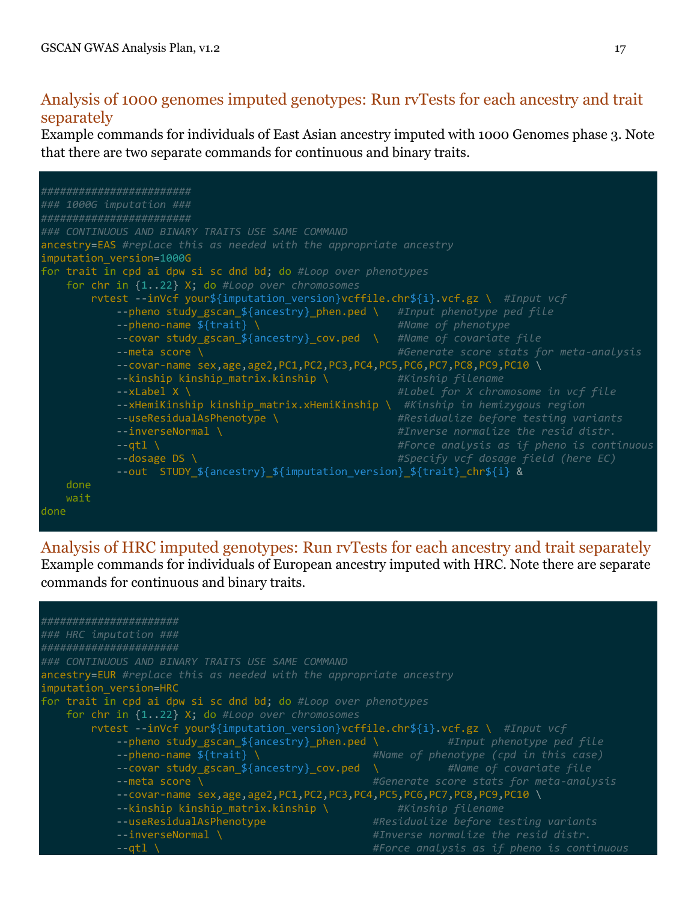### Analysis of 1000 genomes imputed genotypes: Run rvTests for each ancestry and trait separately

Example commands for individuals of East Asian ancestry imputed with 1000 Genomes phase 3. Note that there are two separate commands for continuous and binary traits.



Analysis of HRC imputed genotypes: Run rvTests for each ancestry and trait separately Example commands for individuals of European ancestry imputed with HRC. Note there are separate commands for continuous and binary traits.

| ######################<br>ancestry=EUR #replace this as needed with the appropriate ancestry<br>for trait in cpd ai dpw si sc dnd bd; do #Loop over phenotypes<br>for chr in {122} X; do #Loop over chromosomes<br>rvtest --inVcf your\${imputation_version}vcffile.chr\${i}.vcf.gz \ #Input vcf<br>--pheno study_gscan_\${ancestry}_phen.ped \ #Input_phenotype_ped_file<br>#Name of phenotype (cpd in this case)<br>--pheno-name $f\{ \text{trail} \$<br>#Name of covariate file<br>--covar study gscan \${ancestry} cov.ped \<br>#Generate score stats for meta-analysis<br>$-$ meta score \<br>--covar-name sex,age,age2,PC1,PC2,PC3,PC4,PC5,PC6,PC7,PC8,PC9,PC10 \<br>--kinship kinship matrix.kinship \<br>#Kinship filename<br>#Residualize before testing variants<br>--useResidualAsPhenotype<br>#Inverse normalize the resid distr.<br>$-$ inverseNormal \<br>#Force analysis as if pheno is continuous<br>--atl |                                                   |  |
|----------------------------------------------------------------------------------------------------------------------------------------------------------------------------------------------------------------------------------------------------------------------------------------------------------------------------------------------------------------------------------------------------------------------------------------------------------------------------------------------------------------------------------------------------------------------------------------------------------------------------------------------------------------------------------------------------------------------------------------------------------------------------------------------------------------------------------------------------------------------------------------------------------------------------|---------------------------------------------------|--|
|                                                                                                                                                                                                                                                                                                                                                                                                                                                                                                                                                                                                                                                                                                                                                                                                                                                                                                                            |                                                   |  |
|                                                                                                                                                                                                                                                                                                                                                                                                                                                                                                                                                                                                                                                                                                                                                                                                                                                                                                                            | ### HRC imputation ###                            |  |
|                                                                                                                                                                                                                                                                                                                                                                                                                                                                                                                                                                                                                                                                                                                                                                                                                                                                                                                            | #######################                           |  |
|                                                                                                                                                                                                                                                                                                                                                                                                                                                                                                                                                                                                                                                                                                                                                                                                                                                                                                                            | ### CONTINUOUS AND BINARY TRAITS USE SAME COMMAND |  |
|                                                                                                                                                                                                                                                                                                                                                                                                                                                                                                                                                                                                                                                                                                                                                                                                                                                                                                                            |                                                   |  |
|                                                                                                                                                                                                                                                                                                                                                                                                                                                                                                                                                                                                                                                                                                                                                                                                                                                                                                                            | imputation version=HRC                            |  |
|                                                                                                                                                                                                                                                                                                                                                                                                                                                                                                                                                                                                                                                                                                                                                                                                                                                                                                                            |                                                   |  |
|                                                                                                                                                                                                                                                                                                                                                                                                                                                                                                                                                                                                                                                                                                                                                                                                                                                                                                                            |                                                   |  |
|                                                                                                                                                                                                                                                                                                                                                                                                                                                                                                                                                                                                                                                                                                                                                                                                                                                                                                                            |                                                   |  |
|                                                                                                                                                                                                                                                                                                                                                                                                                                                                                                                                                                                                                                                                                                                                                                                                                                                                                                                            |                                                   |  |
|                                                                                                                                                                                                                                                                                                                                                                                                                                                                                                                                                                                                                                                                                                                                                                                                                                                                                                                            |                                                   |  |
|                                                                                                                                                                                                                                                                                                                                                                                                                                                                                                                                                                                                                                                                                                                                                                                                                                                                                                                            |                                                   |  |
|                                                                                                                                                                                                                                                                                                                                                                                                                                                                                                                                                                                                                                                                                                                                                                                                                                                                                                                            |                                                   |  |
|                                                                                                                                                                                                                                                                                                                                                                                                                                                                                                                                                                                                                                                                                                                                                                                                                                                                                                                            |                                                   |  |
|                                                                                                                                                                                                                                                                                                                                                                                                                                                                                                                                                                                                                                                                                                                                                                                                                                                                                                                            |                                                   |  |
|                                                                                                                                                                                                                                                                                                                                                                                                                                                                                                                                                                                                                                                                                                                                                                                                                                                                                                                            |                                                   |  |
|                                                                                                                                                                                                                                                                                                                                                                                                                                                                                                                                                                                                                                                                                                                                                                                                                                                                                                                            |                                                   |  |
|                                                                                                                                                                                                                                                                                                                                                                                                                                                                                                                                                                                                                                                                                                                                                                                                                                                                                                                            |                                                   |  |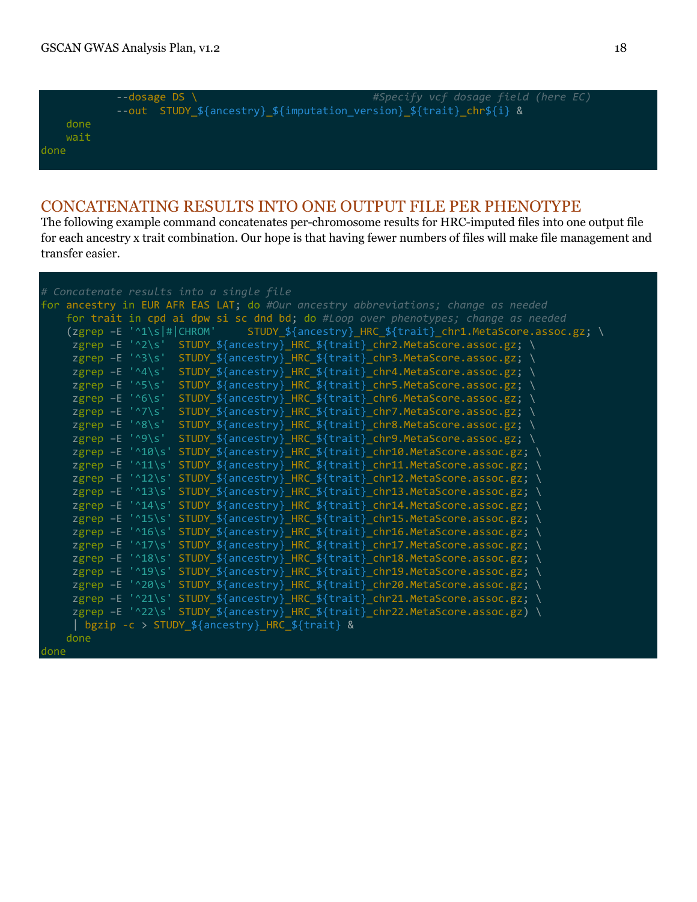done

|      | $--dosage DS$                                                        | #Specify vcf dosage field (here EC) |  |  |
|------|----------------------------------------------------------------------|-------------------------------------|--|--|
|      | --out STUDY_\${ancestry}_\${imputation_version}_\${trait}_chr\${i} & |                                     |  |  |
| done |                                                                      |                                     |  |  |
| wait |                                                                      |                                     |  |  |
| done |                                                                      |                                     |  |  |
|      |                                                                      |                                     |  |  |

### CONCATENATING RESULTS INTO ONE OUTPUT FILE PER PHENOTYPE

The following example command concatenates per-chromosome results for HRC-imputed files into one output file for each ancestry x trait combination. Our hope is that having fewer numbers of files will make file management and transfer easier.

| # Concatenate results into a single file                                                   |
|--------------------------------------------------------------------------------------------|
| for ancestry in EUR AFR EAS LAT; do #Our ancestry abbreviations; change as needed          |
| for trait in cpd ai dpw si sc dnd bd; do #Loop over phenotypes; change as needed           |
| (zgrep -E '^1\s # CHROM' STUDY_\${ancestry}_HRC_\${trait}_chr1.MetaScore.assoc.gz; \       |
| zgrep -E '^2\s' STUDY_\${ancestry}_HRC_\${trait}_chr2.MetaScore.assoc.gz; \                |
| zgrep -E '^3\s' STUDY_\${ancestry}_HRC_\${trait}_chr3.MetaScore.assoc.gz; \                |
| $z$ grep -E '^4\s'<br>STUDY_\${ancestry}_HRC_\${trait}_chr4.MetaScore.assoc.gz; \          |
| $z$ grep -E '^5\s'<br>STUDY_\${ancestry}_HRC_\${trait}_chr5.MetaScore.assoc.gz; \          |
| $z$ grep -E '^6\s'<br>STUDY_\${ancestry}_HRC_\${trait}_chr6.MetaScore.assoc.gz; \          |
| zgrep $-E$ ' $\sqrt{7}/s$ '<br>STUDY_\${ancestry}_HRC_\${trait}_chr7.MetaScore.assoc.gz; \ |
| zgrep -E '^8\s' STUDY_\${ancestry}_HRC_\${trait}_chr8.MetaScore.assoc.gz; \                |
| zgrep -E '^9\s' STUDY_\${ancestry}_HRC_\${trait}_chr9.MetaScore.assoc.gz; \                |
| zgrep -E '^10\s' STUDY_\${ancestry}_HRC_\${trait}_chr10.MetaScore.assoc.gz; \              |
| zgrep -E '^11\s' STUDY_\${ancestry}_HRC_\${trait}_chr11.MetaScore.assoc.gz; \              |
| zgrep -E '^12\s' STUDY_\${ancestry}_HRC_\${trait}_chr12.MetaScore.assoc.gz; \              |
| zgrep -E '^13\s' STUDY_\${ancestry}_HRC_\${trait}_chr13.MetaScore.assoc.gz; \              |
| zgrep -E '^14\s' STUDY_\${ancestry}_HRC_\${trait}_chr14.MetaScore.assoc.gz; \              |
| zgrep -E '^15\s' STUDY_\${ancestry}_HRC_\${trait}_chr15.MetaScore.assoc.gz; \              |
| zgrep -E '^16\s' STUDY_\${ancestry}_HRC_\${trait}_chr16.MetaScore.assoc.gz; \              |
| zgrep -E '^17\s' STUDY_\${ancestry}_HRC_\${trait}_chr17.MetaScore.assoc.gz; \              |
| zgrep -E '^18\s' STUDY_\${ancestry}_HRC_\${trait}_chr18.MetaScore.assoc.gz; \              |
| zgrep -E '^19\s' STUDY_\${ancestry}_HRC_\${trait}_chr19.MetaScore.assoc.gz; \              |
| zgrep -E '^20\s' STUDY_\${ancestry}_HRC_\${trait}_chr20.MetaScore.assoc.gz; \              |
| zgrep -E '^21\s' STUDY_\${ancestry}_HRC_\${trait}_chr21.MetaScore.assoc.gz; \              |
| zgrep -E '^22\s' STUDY_\${ancestry}_HRC_\${trait}_chr22.MetaScore.assoc.gz) \              |
| bgzip -c > STUDY \${ancestry}_HRC_\${trait} &                                              |
| done                                                                                       |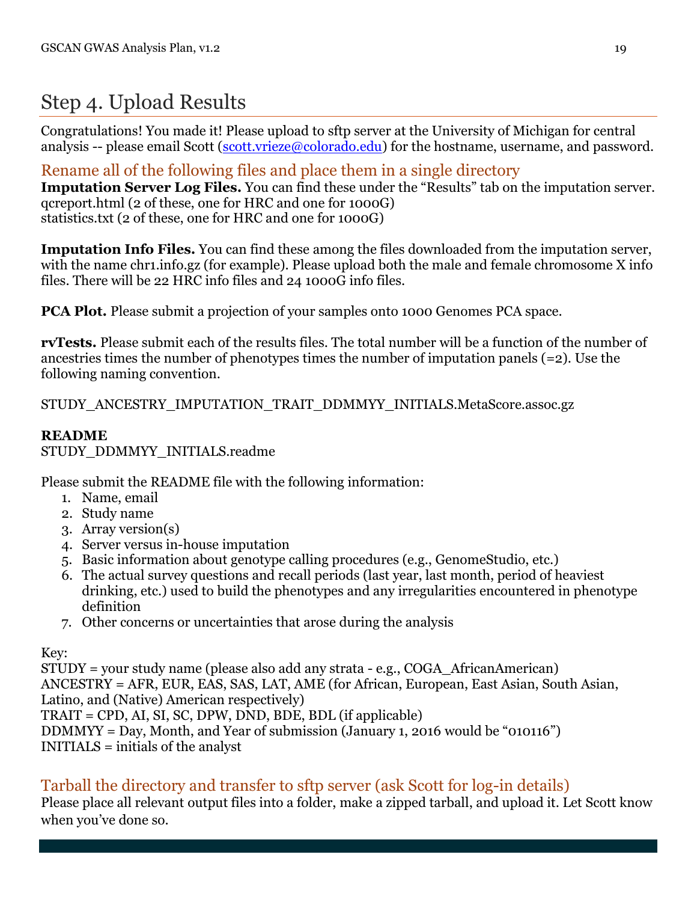## Step 4. Upload Results

Congratulations! You made it! Please upload to sftp server at the University of Michigan for central analysis -- please email Scott [\(scott.vrieze@colorado.edu\)](mailto:scott.vrieze@colorado.edu) for the hostname, username, and password.

### Rename all of the following files and place them in a single directory

**Imputation Server Log Files.** You can find these under the "Results" tab on the imputation server. qcreport.html (2 of these, one for HRC and one for 1000G) statistics.txt (2 of these, one for HRC and one for 1000G)

**Imputation Info Files.** You can find these among the files downloaded from the imputation server, with the name chr1.info.gz (for example). Please upload both the male and female chromosome X info files. There will be 22 HRC info files and 24 1000G info files.

**PCA Plot.** Please submit a projection of your samples onto 1000 Genomes PCA space.

**rvTests.** Please submit each of the results files. The total number will be a function of the number of ancestries times the number of phenotypes times the number of imputation panels (=2). Use the following naming convention.

STUDY\_ANCESTRY\_IMPUTATION\_TRAIT\_DDMMYY\_INITIALS.MetaScore.assoc.gz

#### **README**

#### STUDY\_DDMMYY\_INITIALS.readme

Please submit the README file with the following information:

- 1. Name, email
- 2. Study name
- 3. Array version(s)
- 4. Server versus in-house imputation
- 5. Basic information about genotype calling procedures (e.g., GenomeStudio, etc.)
- 6. The actual survey questions and recall periods (last year, last month, period of heaviest drinking, etc.) used to build the phenotypes and any irregularities encountered in phenotype definition
- 7. Other concerns or uncertainties that arose during the analysis

#### Key:

STUDY = your study name (please also add any strata - e.g., COGA\_AfricanAmerican) ANCESTRY = AFR, EUR, EAS, SAS, LAT, AME (for African, European, East Asian, South Asian, Latino, and (Native) American respectively) TRAIT = CPD, AI, SI, SC, DPW, DND, BDE, BDL (if applicable) DDMMYY = Day, Month, and Year of submission (January 1, 2016 would be "010116") INITIALS = initials of the analyst

### Tarball the directory and transfer to sftp server (ask Scott for log-in details)

Please place all relevant output files into a folder, make a zipped tarball, and upload it. Let Scott know when you've done so.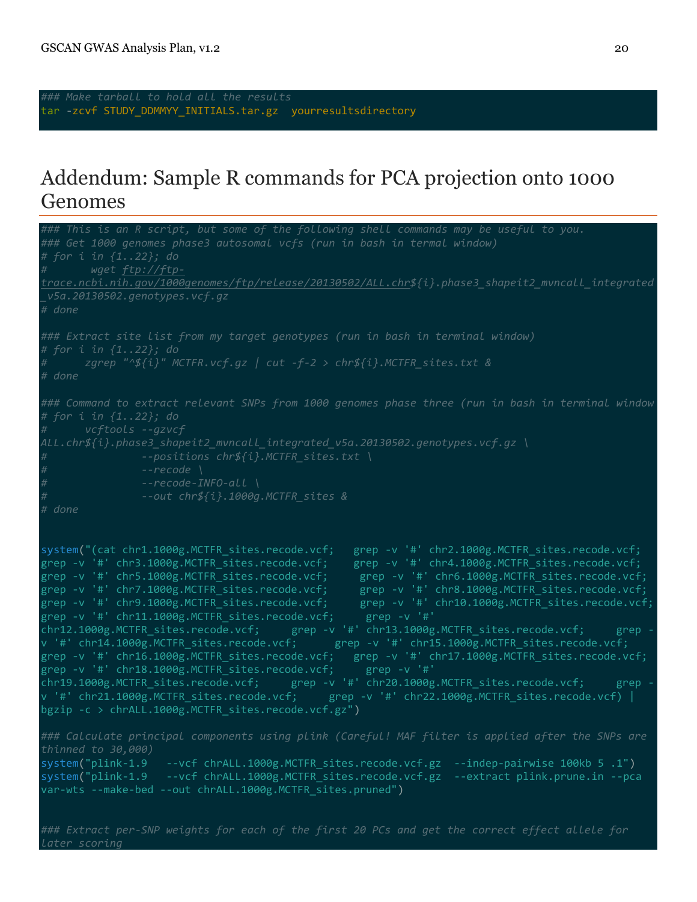*later scoring*

tar -zcvf STUDY\_DDMMYY\_INITIALS.tar.gz yourresultsdirectory

### Addendum: Sample R commands for PCA projection onto 1000 Genomes

*### This is an R script, but some of the following shell commands may be useful to you. ### Get 1000 genomes phase3 autosomal vcfs (run in bash in termal window) # wget ftp://ftptrace.ncbi.nih.gov/1000genomes/ftp/release/20130502/ALL.chr\${i}.phase3\_shapeit2\_mvncall\_integrated \_v5a.20130502.genotypes.vcf.gz # done ### Extract site list from my target genotypes (run in bash in terminal window) # zgrep "^\${i}" MCTFR.vcf.gz | cut -f-2 > chr\${i}.MCTFR\_sites.txt & # done ### Command to extract relevant SNPs from 1000 genomes phase three (run in bash in terminal window # for i in {1..22}; do ALL.chr\${i}.phase3\_shapeit2\_mvncall\_integrated\_v5a.20130502.genotypes.vcf.gz \ # --positions chr\${i}.MCTFR\_sites.txt \ # --recode \ # --recode-INFO-all \ # --out chr\${i}.1000g.MCTFR\_sites & # done* system("(cat chr1.1000g.MCTFR\_sites.recode.vcf; grep -v '#' chr2.1000g.MCTFR\_sites.recode.vcf;<br>grep -v '#' chr3.1000g.MCTFR\_sites.recode.vcf; grep -v '#' chr4.1000g.MCTFR\_sites.recode.vcf; grep -v '#' chr3.1000g.MCTFR\_sites.recode.vcf; grep -v '#' chr4.1000g.MCTFR\_sites.recode.vcf; grep -v '#' chr5.1000g.MCTFR\_sites.recode.vcf; grep -v '#' chr6.1000g.MCTFR\_sites.recode.vcf; grep -v '#' chr7.1000g.MCTFR\_sites.recode.vcf; grep -v '#' chr8.1000g.MCTFR\_sites.recode.vcf; grep -v '#' chr9.1000g.MCTFR\_sites.recode.vcf; grep -v '#' chr10.1000g.MCTFR\_sites.recode.vcf; grep -v '#' chr11.1000g.MCTFR\_sites.recode.vcf; grep -v '#' chr12.1000g.MCTFR\_sites.recode.vcf; grep -v '#' chr13.1000g.MCTFR\_sites.recode.vcf; grep v '#' chr14.1000g.MCTFR\_sites.recode.vcf; grep -v '#' chr15.1000g.MCTFR\_sites.recode.vcf; grep -v '#' chr16.1000g.MCTFR\_sites.recode.vcf; grep -v '#' chr17.1000g.MCTFR\_sites.recode.vcf; grep -v '#' chr18.1000g.MCTFR\_sites.recode.vcf; grep -v '#' chr19.1000g.MCTFR\_sites.recode.vcf; grep -v '#' chr20.1000g.MCTFR\_sites.recode.vcf; grep v '#' chr21.1000g.MCTFR\_sites.recode.vcf; grep -v '#' chr22.1000g.MCTFR\_sites.recode.vcf) | bgzip -c > chrALL.1000g.MCTFR\_sites.recode.vcf.gz") *### Calculate principal components using plink (Careful! MAF filter is applied after the SNPs are*  system("plink-1.9 --vcf chrALL.1000g.MCTFR\_sites.recode.vcf.gz --indep-pairwise 100kb 5 .1") system("plink-1.9 --vcf chrALL.1000g.MCTFR\_sites.recode.vcf.gz --extract plink.prune.in --pca var-wts --make-bed --out chrALL.1000g.MCTFR\_sites.pruned") *### Extract per-SNP weights for each of the first 20 PCs and get the correct effect allele for*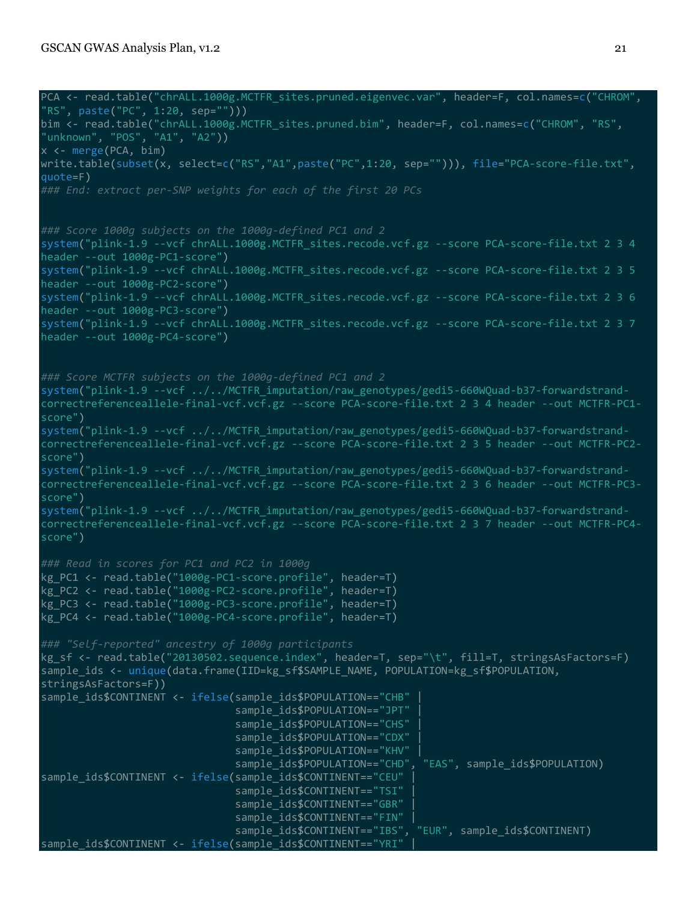```
PCA <- read.table("chrALL.1000g.MCTFR_sites.pruned.eigenvec.var", header=F, col.names=c("CHROM", 
"RS", paste("PC", 1:20, sep="")))
bim <- read.table("chrALL.1000g.MCTFR sites.pruned.bim", header=F, col.names=c("CHROM", "RS",
"unknown", "POS", "A1", "A2"))
x <- merge(PCA, bim)
write.table(subset(x, select=c("RS","A1",paste("PC",1:20, sep=""))), file="PCA-score-file.txt",
quote=F)
### Score 1000g subjects on the 1000g-defined PC1 and 2
system("plink-1.9 --vcf chrALL.1000g.MCTFR_sites.recode.vcf.gz --score PCA-score-file.txt 2 3 4 
header --out 1000g-PC1-score")
system("plink-1.9 --vcf chrALL.1000g.MCTFR_sites.recode.vcf.gz --score PCA-score-file.txt 2 3 5 
header --out 1000g-PC2-score")
system("plink-1.9 --vcf chrALL.1000g.MCTFR_sites.recode.vcf.gz --score PCA-score-file.txt 2 3 6 
header --out 1000g-PC3-score")
system("plink-1.9 --vcf chrALL.1000g.MCTFR_sites.recode.vcf.gz --score PCA-score-file.txt 2 3 7 
header --out 1000g-PC4-score")
### Score MCTFR subjects on the 1000g-defined PC1 and 2
system("plink-1.9 --vcf ../../MCTFR_imputation/raw_genotypes/gedi5-660WQuad-b37-forwardstrand-
correctreferenceallele-final-vcf.vcf.gz --score PCA-score-file.txt 2 3 4 header --out MCTFR-PC1-
score")
system("plink-1.9 --vcf ../../MCTFR imputation/raw genotypes/gedi5-660WQuad-b37-forwardstrand-
correctreferenceallele-final-vcf.vcf.gz --score PCA-score-file.txt 2 3 5 header --out MCTFR-PC2-
score")
system("plink-1.9 --vcf ../../MCTFR_imputation/raw_genotypes/gedi5-660WQuad-b37-forwardstrand-
correctreferenceallele-final-vcf.vcf.gz --score PCA-score-file.txt 2 3 6 header --out MCTFR-PC3-
score")
system("plink-1.9 --vcf ../../MCTFR_imputation/raw_genotypes/gedi5-660WQuad-b37-forwardstrand-
correctreferenceallele-final-vcf.vcf.gz --score PCA-score-file.txt 2 3 7 header --out MCTFR-PC4-
score")
### Read in scores for PC1 and PC2 in 1000g
kg_PC1 <- read.table("1000g-PC1-score.profile", header=T)
kg_PC2 <- read.table("1000g-PC2-score.profile", header=T)
kg_PC3 <- read.table("1000g-PC3-score.profile", header=T)
kg_PC4 <- read.table("1000g-PC4-score.profile", header=T)
### "Self-reported" ancestry of 1000g participants
kg_sf <- read.table("20130502.sequence.index", header=T, sep="\t", fill=T, stringsAsFactors=F)
sample_ids <- unique(data.frame(IID=kg_sf$SAMPLE_NAME, POPULATION=kg_sf$POPULATION, 
stringsAsFactors=F))
sample_ids$CONTINENT <- ifelse(sample_ids$POPULATION=="CHB" |
                                sample_ids$POPULATION=="JPT" |
                               sample_ids$POPULATION=="CHS"
                               sample ids$POPULATION=="CDX"
                               sample_ids$POPULATION=="KHV"
                                sample_ids$POPULATION=="CHD", "EAS", sample_ids$POPULATION)
sample ids$CONTINENT <- ifelse(sample ids$CONTINENT=="CEU"
                               sample ids$CONTINENT=="TSI"
                               sample ids$CONTINENT=="GBR"
                                sample_ids$CONTINENT=="FIN" |
                                sample_ids$CONTINENT=="IBS", "EUR", sample_ids$CONTINENT)
sample_ids$CONTINENT <- ifelse(sample_ids$CONTINENT=="YRI"
```